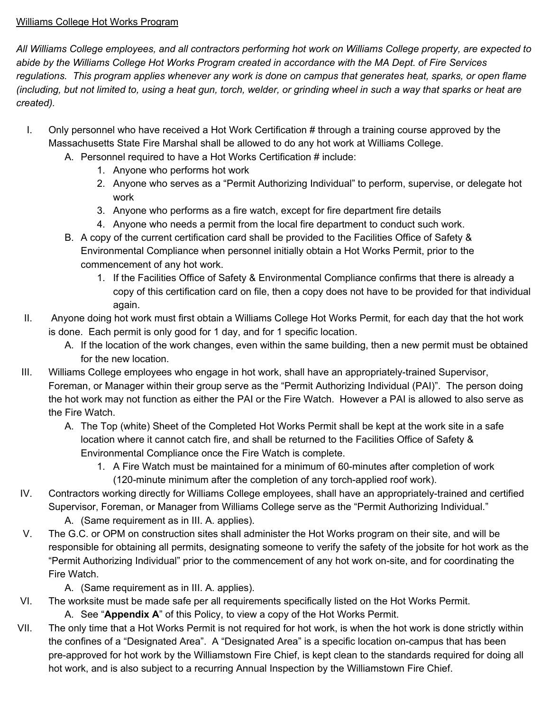### Williams College Hot Works Program

All Williams College employees, and all contractors performing hot work on Williams College property, are expected to abide by the Williams College Hot Works Program created in accordance with the MA Dept. of Fire Services regulations. This program applies whenever any work is done on campus that generates heat, sparks, or open flame (including, but not limited to, using a heat gun, torch, welder, or grinding wheel in such a way that sparks or heat are *created).*

- I. Only personnel who have received a Hot Work Certification # through a training course approved by the Massachusetts State Fire Marshal shall be allowed to do any hot work at Williams College.
	- A. Personnel required to have a Hot Works Certification # include:
		- 1. Anyone who performs hot work
		- 2. Anyone who serves as a "Permit Authorizing Individual" to perform, supervise, or delegate hot work
		- 3. Anyone who performs as a fire watch, except for fire department fire details
		- 4. Anyone who needs a permit from the local fire department to conduct such work.
	- B. A copy of the current certification card shall be provided to the Facilities Office of Safety & Environmental Compliance when personnel initially obtain a Hot Works Permit, prior to the commencement of any hot work.
		- 1. If the Facilities Office of Safety & Environmental Compliance confirms that there is already a copy of this certification card on file, then a copy does not have to be provided for that individual again.
- II. Anyone doing hot work must first obtain a Williams College Hot Works Permit, for each day that the hot work is done. Each permit is only good for 1 day, and for 1 specific location.
	- A. If the location of the work changes, even within the same building, then a new permit must be obtained for the new location.
- III. Williams College employees who engage in hot work, shall have an appropriately-trained Supervisor, Foreman, or Manager within their group serve as the "Permit Authorizing Individual (PAI)". The person doing the hot work may not function as either the PAI or the Fire Watch. However a PAI is allowed to also serve as the Fire Watch.
	- A. The Top (white) Sheet of the Completed Hot Works Permit shall be kept at the work site in a safe location where it cannot catch fire, and shall be returned to the Facilities Office of Safety & Environmental Compliance once the Fire Watch is complete.
		- 1. A Fire Watch must be maintained for a minimum of 60-minutes after completion of work (120-minute minimum after the completion of any torch-applied roof work).
- IV. Contractors working directly for Williams College employees, shall have an appropriately-trained and certified Supervisor, Foreman, or Manager from Williams College serve as the "Permit Authorizing Individual."
	- A. (Same requirement as in III. A. applies).
- V. The G.C. or OPM on construction sites shall administer the Hot Works program on their site, and will be responsible for obtaining all permits, designating someone to verify the safety of the jobsite for hot work as the "Permit Authorizing Individual" prior to the commencement of any hot work on-site, and for coordinating the Fire Watch.

A. (Same requirement as in III. A. applies).

VI. The worksite must be made safe per all requirements specifically listed on the Hot Works Permit.

A. See "**Appendix A**" of this Policy, to view a copy of the Hot Works Permit.

VII. The only time that a Hot Works Permit is not required for hot work, is when the hot work is done strictly within the confines of a "Designated Area". A "Designated Area" is a specific location on-campus that has been pre-approved for hot work by the Williamstown Fire Chief, is kept clean to the standards required for doing all hot work, and is also subject to a recurring Annual Inspection by the Williamstown Fire Chief.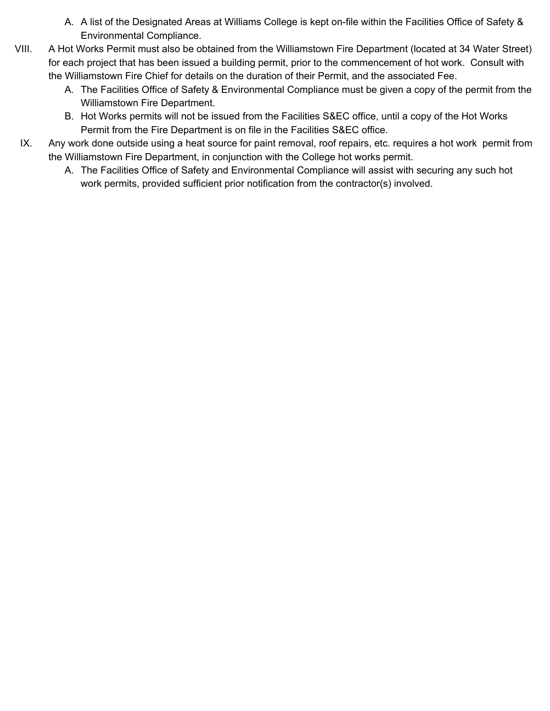- A. A list of the Designated Areas at Williams College is kept on-file within the Facilities Office of Safety & Environmental Compliance.
- VIII. A Hot Works Permit must also be obtained from the Williamstown Fire Department (located at 34 Water Street) for each project that has been issued a building permit, prior to the commencement of hot work. Consult with the Williamstown Fire Chief for details on the duration of their Permit, and the associated Fee.
	- A. The Facilities Office of Safety & Environmental Compliance must be given a copy of the permit from the Williamstown Fire Department.
	- B. Hot Works permits will not be issued from the Facilities S&EC office, until a copy of the Hot Works Permit from the Fire Department is on file in the Facilities S&EC office.
	- IX. Any work done outside using a heat source for paint removal, roof repairs, etc. requires a hot work permit from the Williamstown Fire Department, in conjunction with the College hot works permit.
		- A. The Facilities Office of Safety and Environmental Compliance will assist with securing any such hot work permits, provided sufficient prior notification from the contractor(s) involved.